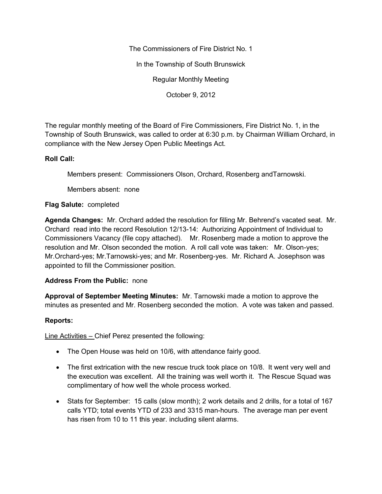The Commissioners of Fire District No. 1

In the Township of South Brunswick

Regular Monthly Meeting

October 9, 2012

The regular monthly meeting of the Board of Fire Commissioners, Fire District No. 1, in the Township of South Brunswick, was called to order at 6:30 p.m. by Chairman William Orchard, in compliance with the New Jersey Open Public Meetings Act.

## **Roll Call:**

Members present: Commissioners Olson, Orchard, Rosenberg andTarnowski.

Members absent: none

## **Flag Salute:** completed

**Agenda Changes:** Mr. Orchard added the resolution for filling Mr. Behrend's vacated seat. Mr. Orchard read into the record Resolution 12/13-14: Authorizing Appointment of Individual to Commissioners Vacancy (file copy attached). Mr. Rosenberg made a motion to approve the resolution and Mr. Olson seconded the motion. A roll call vote was taken: Mr. Olson-yes; Mr.Orchard-yes; Mr.Tarnowski-yes; and Mr. Rosenberg-yes. Mr. Richard A. Josephson was appointed to fill the Commissioner position.

## **Address From the Public:** none

**Approval of September Meeting Minutes:** Mr. Tarnowski made a motion to approve the minutes as presented and Mr. Rosenberg seconded the motion. A vote was taken and passed.

## **Reports:**

Line Activities – Chief Perez presented the following:

- The Open House was held on 10/6, with attendance fairly good.
- The first extrication with the new rescue truck took place on 10/8. It went very well and the execution was excellent. All the training was well worth it. The Rescue Squad was complimentary of how well the whole process worked.
- Stats for September: 15 calls (slow month); 2 work details and 2 drills, for a total of 167 calls YTD; total events YTD of 233 and 3315 man-hours. The average man per event has risen from 10 to 11 this year. including silent alarms.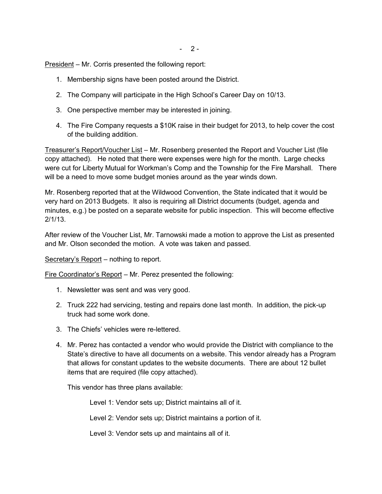$- 2 -$ 

President – Mr. Corris presented the following report:

- 1. Membership signs have been posted around the District.
- 2. The Company will participate in the High School's Career Day on 10/13.
- 3. One perspective member may be interested in joining.
- 4. The Fire Company requests a \$10K raise in their budget for 2013, to help cover the cost of the building addition.

Treasurer's Report/Voucher List – Mr. Rosenberg presented the Report and Voucher List (file copy attached). He noted that there were expenses were high for the month. Large checks were cut for Liberty Mutual for Workman's Comp and the Township for the Fire Marshall. There will be a need to move some budget monies around as the year winds down.

Mr. Rosenberg reported that at the Wildwood Convention, the State indicated that it would be very hard on 2013 Budgets. It also is requiring all District documents (budget, agenda and minutes, e.g.) be posted on a separate website for public inspection. This will become effective 2/1/13.

After review of the Voucher List, Mr. Tarnowski made a motion to approve the List as presented and Mr. Olson seconded the motion. A vote was taken and passed.

Secretary's Report – nothing to report.

Fire Coordinator's Report – Mr. Perez presented the following:

- 1. Newsletter was sent and was very good.
- 2. Truck 222 had servicing, testing and repairs done last month. In addition, the pick-up truck had some work done.
- 3. The Chiefs' vehicles were re-lettered.
- 4. Mr. Perez has contacted a vendor who would provide the District with compliance to the State's directive to have all documents on a website. This vendor already has a Program that allows for constant updates to the website documents. There are about 12 bullet items that are required (file copy attached).

This vendor has three plans available:

Level 1: Vendor sets up; District maintains all of it.

Level 2: Vendor sets up; District maintains a portion of it.

Level 3: Vendor sets up and maintains all of it.